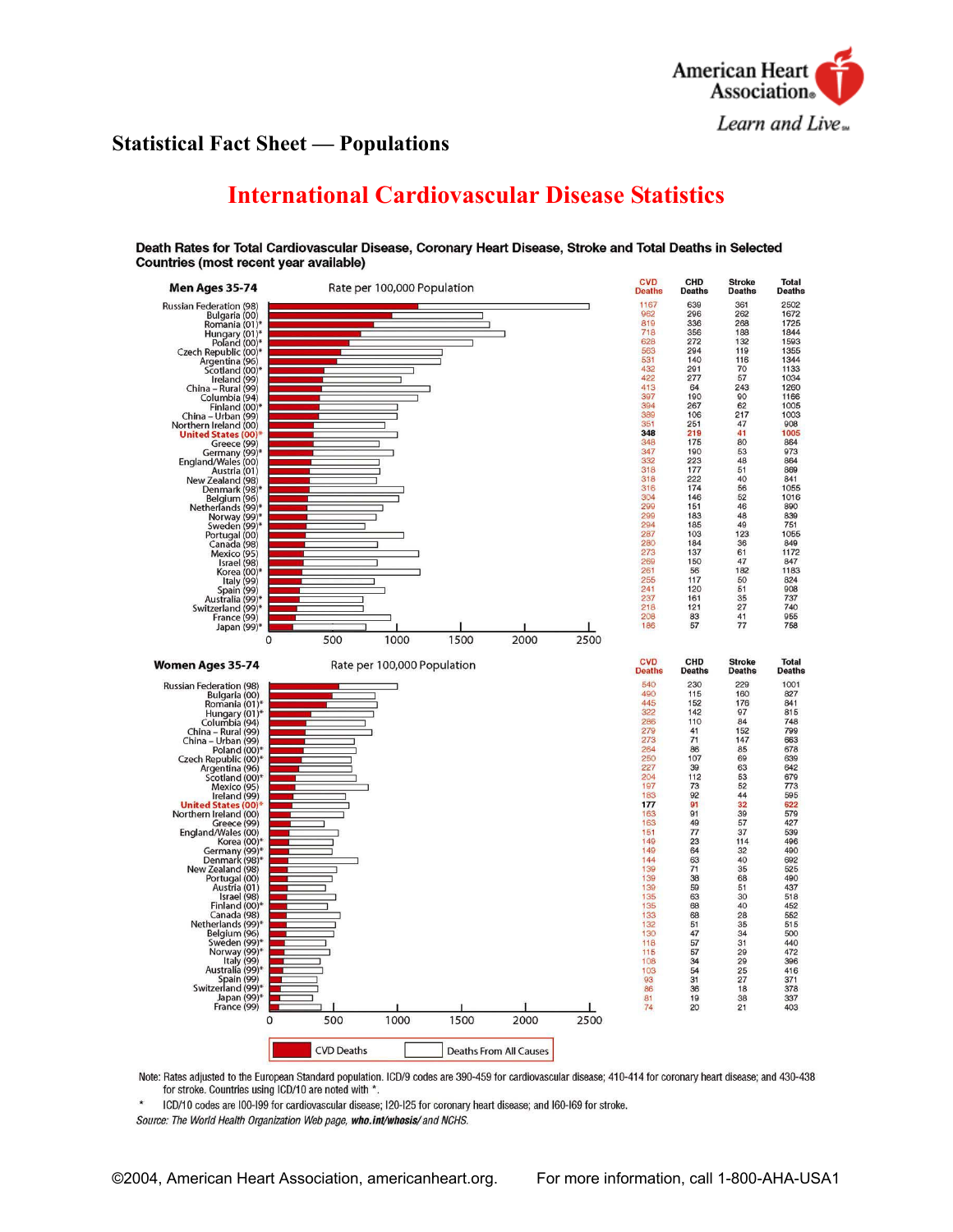

# **Statistical Fact Sheet — Populations**

# **International Cardiovascular Disease Statistics**



Death Rates for Total Cardiovascular Disease, Coronary Heart Disease, Stroke and Total Deaths in Selected Countries (most recent year available)

Note: Rates adjusted to the European Standard population. ICD/9 codes are 390-459 for cardiovascular disease; 410-414 for coronary heart disease; and 430-438 for stroke. Countries using ICD/10 are noted with \*.

ICD/10 codes are I00-I99 for cardiovascular disease; I20-I25 for coronary heart disease; and I60-I69 for stroke.

Source: The World Health Organization Web page, who.int/whosis/ and NCHS.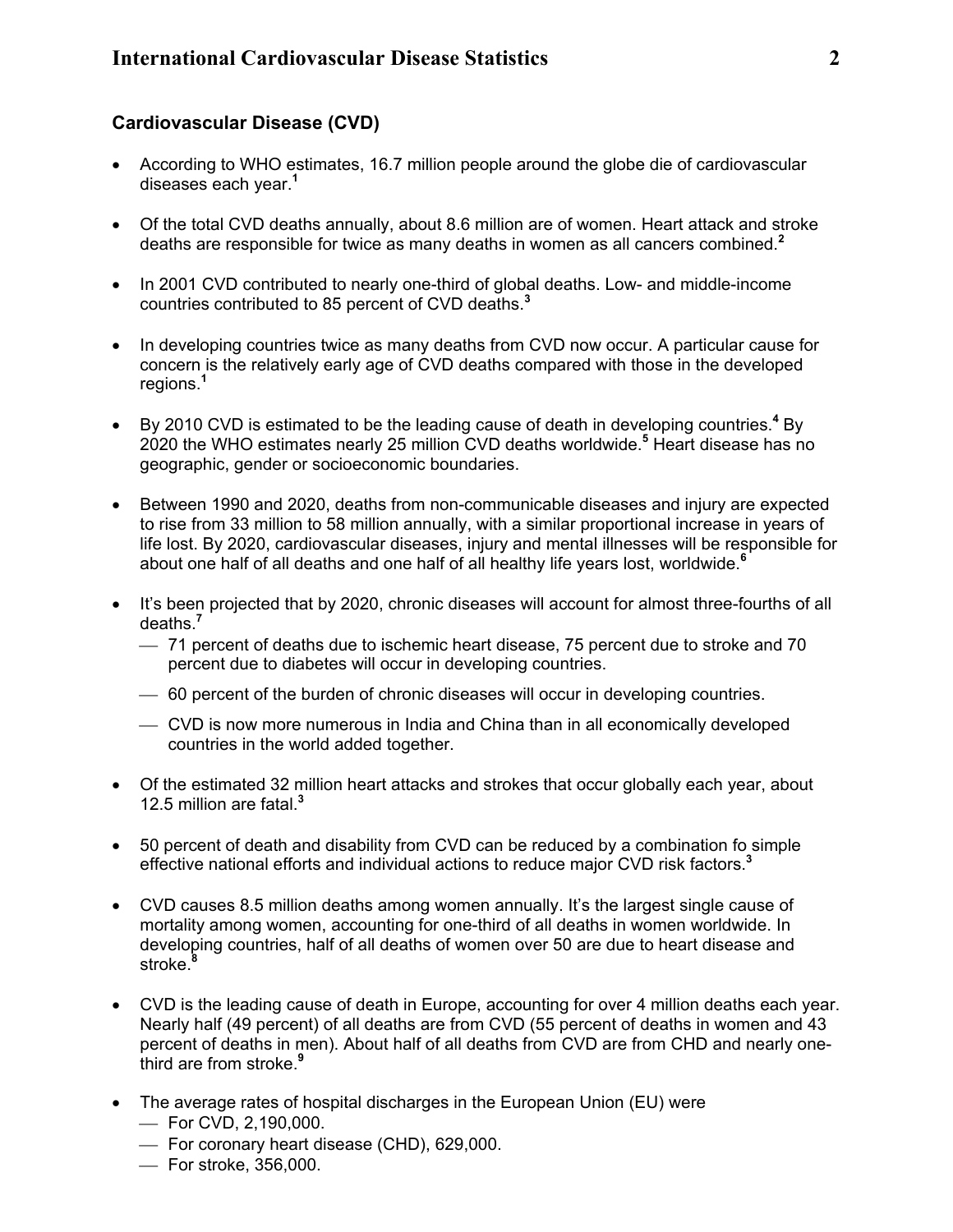# **Cardiovascular Disease (CVD)**

- According to WHO estimates, 16.7 million people around the globe die of cardiovascular diseases each year.**<sup>1</sup>**
- Of the total CVD deaths annually, about 8.6 million are of women. Heart attack and stroke deaths are responsible for twice as many deaths in women as all cancers combined. **2**
- In 2001 CVD contributed to nearly one-third of global deaths. Low- and middle-income countries contributed to 85 percent of CVD deaths. **3**
- In developing countries twice as many deaths from CVD now occur. A particular cause for concern is the relatively early age of CVD deaths compared with those in the developed regions.**<sup>1</sup>**
- By 2010 CVD is estimated to be the leading cause of death in developing countries.<sup>4</sup> By 2020 the WHO estimates nearly 25 million CVD deaths worldwide.**<sup>5</sup>** Heart disease has no geographic, gender or socioeconomic boundaries.
- Between 1990 and 2020, deaths from non-communicable diseases and injury are expected to rise from 33 million to 58 million annually, with a similar proportional increase in years of life lost. By 2020, cardiovascular diseases, injury and mental illnesses will be responsible for about one half of all deaths and one half of all healthy life years lost, worldwide.**<sup>6</sup>**
- It's been projected that by 2020, chronic diseases will account for almost three-fourths of all deaths.**<sup>7</sup>**
	- 71 percent of deaths due to ischemic heart disease, 75 percent due to stroke and 70 percent due to diabetes will occur in developing countries.
	- 60 percent of the burden of chronic diseases will occur in developing countries.
	- CVD is now more numerous in India and China than in all economically developed countries in the world added together.
- Of the estimated 32 million heart attacks and strokes that occur globally each year, about 12.5 million are fatal.**<sup>3</sup>**
- 50 percent of death and disability from CVD can be reduced by a combination fo simple effective national efforts and individual actions to reduce major CVD risk factors.**<sup>3</sup>**
- CVD causes 8.5 million deaths among women annually. It's the largest single cause of mortality among women, accounting for one-third of all deaths in women worldwide. In developing countries, half of all deaths of women over 50 are due to heart disease and stroke.**<sup>8</sup>**
- CVD is the leading cause of death in Europe, accounting for over 4 million deaths each year. Nearly half (49 percent) of all deaths are from CVD (55 percent of deaths in women and 43 percent of deaths in men). About half of all deaths from CVD are from CHD and nearly onethird are from stroke.**<sup>9</sup>**
- The average rates of hospital discharges in the European Union (EU) were
	- For CVD, 2,190,000.
	- For coronary heart disease (CHD), 629,000.
	- For stroke, 356,000.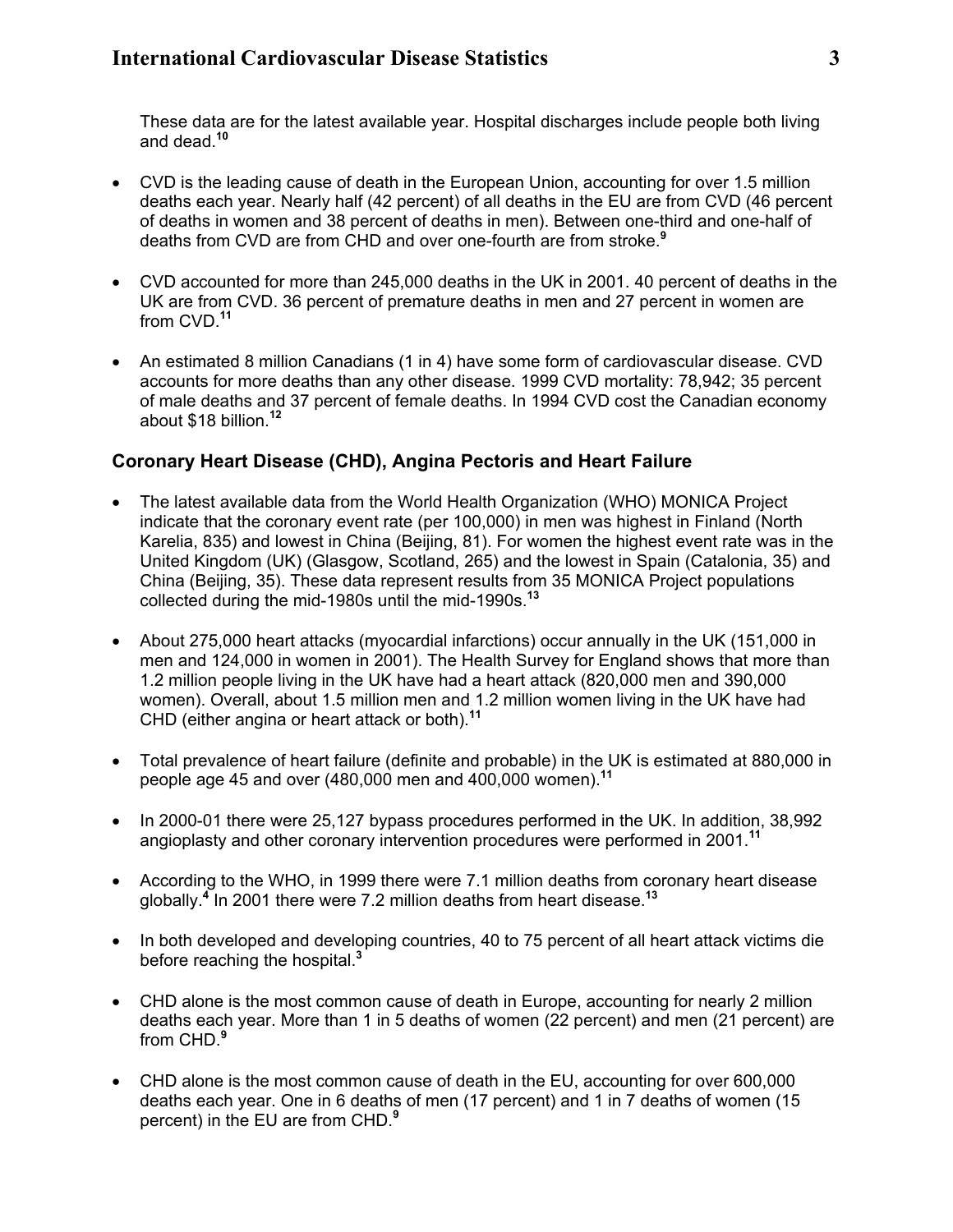These data are for the latest available year. Hospital discharges include people both living and dead.**<sup>10</sup>**

- CVD is the leading cause of death in the European Union, accounting for over 1.5 million deaths each year. Nearly half (42 percent) of all deaths in the EU are from CVD (46 percent of deaths in women and 38 percent of deaths in men). Between one-third and one-half of deaths from CVD are from CHD and over one-fourth are from stroke.**<sup>9</sup>**
- CVD accounted for more than 245,000 deaths in the UK in 2001. 40 percent of deaths in the UK are from CVD. 36 percent of premature deaths in men and 27 percent in women are from CVD.**<sup>11</sup>**
- An estimated 8 million Canadians (1 in 4) have some form of cardiovascular disease. CVD accounts for more deaths than any other disease. 1999 CVD mortality: 78,942; 35 percent of male deaths and 37 percent of female deaths. In 1994 CVD cost the Canadian economy about \$18 billion.**<sup>12</sup>**

# **Coronary Heart Disease (CHD), Angina Pectoris and Heart Failure**

- The latest available data from the World Health Organization (WHO) MONICA Project indicate that the coronary event rate (per 100,000) in men was highest in Finland (North Karelia, 835) and lowest in China (Beijing, 81). For women the highest event rate was in the United Kingdom (UK) (Glasgow, Scotland, 265) and the lowest in Spain (Catalonia, 35) and China (Beijing, 35). These data represent results from 35 MONICA Project populations collected during the mid-1980s until the mid-1990s.**<sup>13</sup>**
- About 275,000 heart attacks (myocardial infarctions) occur annually in the UK (151,000 in men and 124,000 in women in 2001). The Health Survey for England shows that more than 1.2 million people living in the UK have had a heart attack (820,000 men and 390,000 women). Overall, about 1.5 million men and 1.2 million women living in the UK have had CHD (either angina or heart attack or both).**<sup>11</sup>**
- Total prevalence of heart failure (definite and probable) in the UK is estimated at 880,000 in people age 45 and over (480,000 men and 400,000 women).**<sup>11</sup>**
- In 2000-01 there were 25,127 bypass procedures performed in the UK. In addition, 38,992 angioplasty and other coronary intervention procedures were performed in 2001.**<sup>11</sup>**
- According to the WHO, in 1999 there were 7.1 million deaths from coronary heart disease globally.**<sup>4</sup>** In 2001 there were 7.2 million deaths from heart disease.**<sup>13</sup>**
- In both developed and developing countries, 40 to 75 percent of all heart attack victims die before reaching the hospital.**<sup>3</sup>**
- CHD alone is the most common cause of death in Europe, accounting for nearly 2 million deaths each year. More than 1 in 5 deaths of women (22 percent) and men (21 percent) are from CHD.**<sup>9</sup>**
- CHD alone is the most common cause of death in the EU, accounting for over 600,000 deaths each year. One in 6 deaths of men (17 percent) and 1 in 7 deaths of women (15 percent) in the EU are from CHD.**<sup>9</sup>**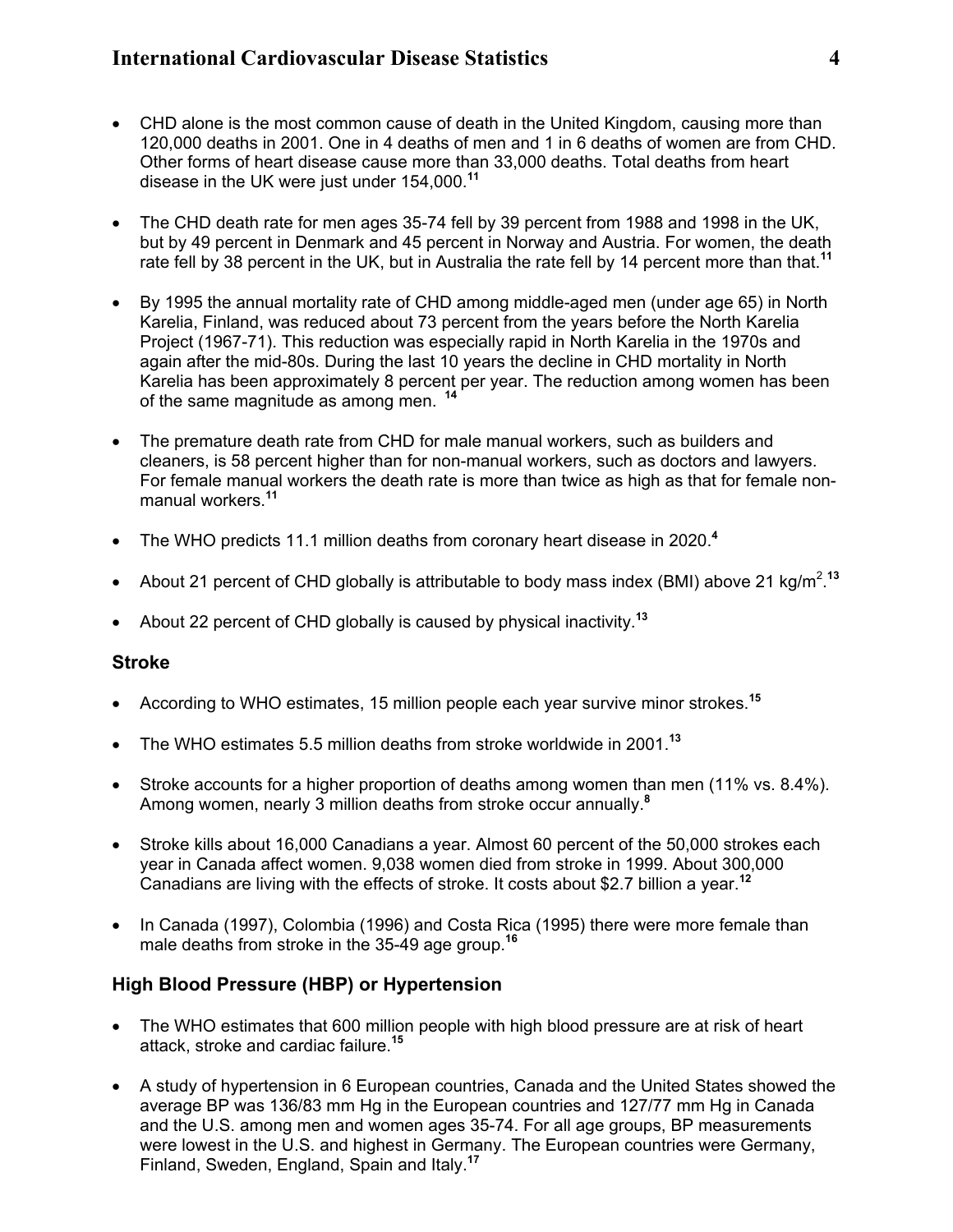- CHD alone is the most common cause of death in the United Kingdom, causing more than 120,000 deaths in 2001. One in 4 deaths of men and 1 in 6 deaths of women are from CHD. Other forms of heart disease cause more than 33,000 deaths. Total deaths from heart disease in the UK were just under 154,000.**<sup>11</sup>**
- The CHD death rate for men ages 35-74 fell by 39 percent from 1988 and 1998 in the UK, but by 49 percent in Denmark and 45 percent in Norway and Austria. For women, the death rate fell by 38 percent in the UK, but in Australia the rate fell by 14 percent more than that.**<sup>11</sup>**
- By 1995 the annual mortality rate of CHD among middle-aged men (under age 65) in North Karelia, Finland, was reduced about 73 percent from the years before the North Karelia Project (1967-71). This reduction was especially rapid in North Karelia in the 1970s and again after the mid-80s. During the last 10 years the decline in CHD mortality in North Karelia has been approximately 8 percent per year. The reduction among women has been of the same magnitude as among men. **<sup>14</sup>**
- The premature death rate from CHD for male manual workers, such as builders and cleaners, is 58 percent higher than for non-manual workers, such as doctors and lawyers. For female manual workers the death rate is more than twice as high as that for female nonmanual workers.**<sup>11</sup>**
- The WHO predicts 11.1 million deaths from coronary heart disease in 2020.**<sup>4</sup>**
- About 21 percent of CHD globally is attributable to body mass index (BMI) above 21 kg/m<sup>2</sup>.<sup>13</sup>
- About 22 percent of CHD globally is caused by physical inactivity.**<sup>13</sup>**

#### **Stroke**

- According to WHO estimates, 15 million people each year survive minor strokes.**<sup>15</sup>**
- The WHO estimates 5.5 million deaths from stroke worldwide in 2001.**<sup>13</sup>**
- Stroke accounts for a higher proportion of deaths among women than men (11% vs. 8.4%). Among women, nearly 3 million deaths from stroke occur annually.**<sup>8</sup>**
- Stroke kills about 16,000 Canadians a year. Almost 60 percent of the 50,000 strokes each year in Canada affect women. 9,038 women died from stroke in 1999. About 300,000 Canadians are living with the effects of stroke. It costs about \$2.7 billion a year.**<sup>12</sup>**
- In Canada (1997), Colombia (1996) and Costa Rica (1995) there were more female than male deaths from stroke in the 35-49 age group.**<sup>16</sup>**

# **High Blood Pressure (HBP) or Hypertension**

- The WHO estimates that 600 million people with high blood pressure are at risk of heart attack, stroke and cardiac failure.**<sup>15</sup>**
- A study of hypertension in 6 European countries, Canada and the United States showed the average BP was 136/83 mm Hg in the European countries and 127/77 mm Hg in Canada and the U.S. among men and women ages 35-74. For all age groups, BP measurements were lowest in the U.S. and highest in Germany. The European countries were Germany, Finland, Sweden, England, Spain and Italy.**<sup>17</sup>**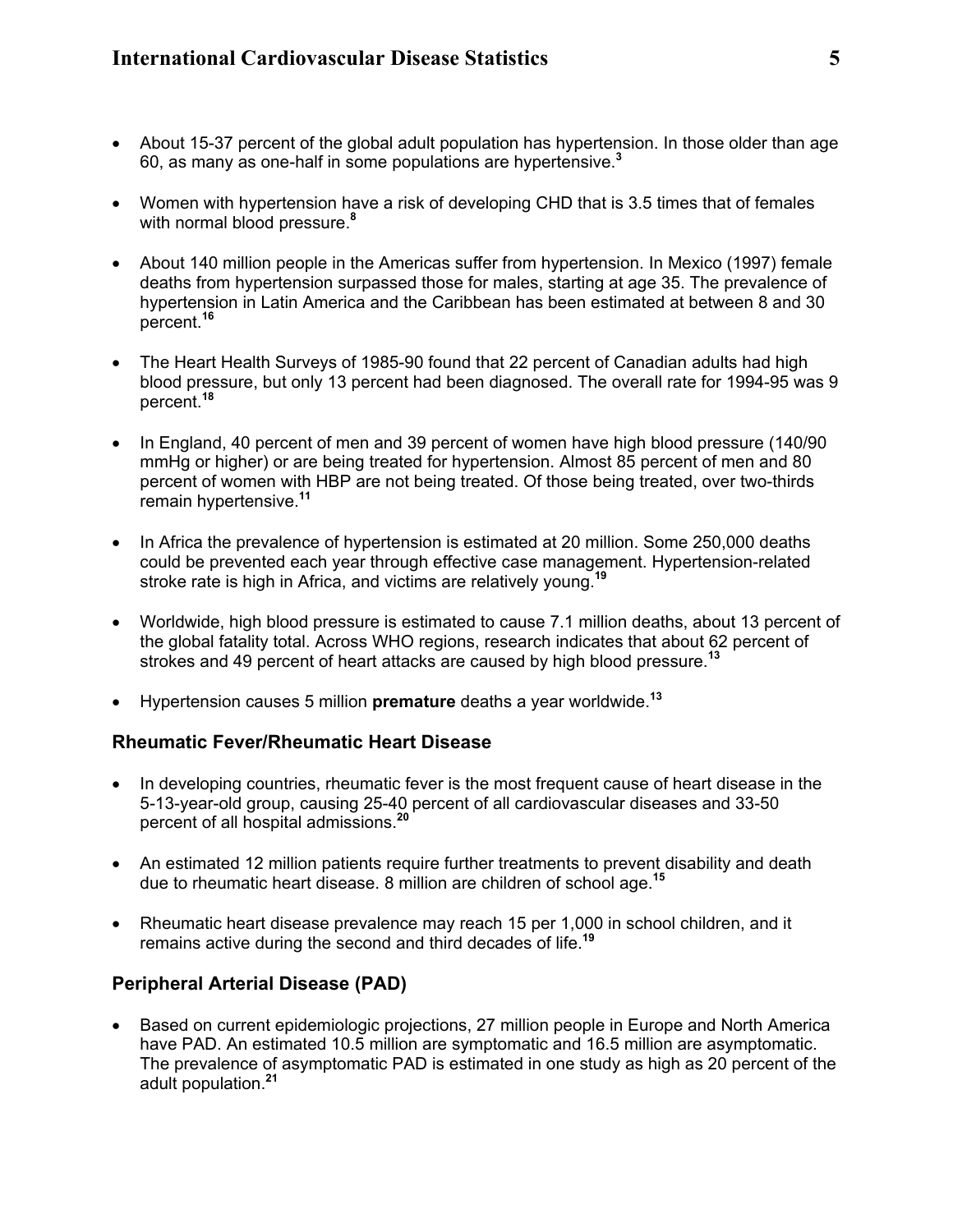- About 15-37 percent of the global adult population has hypertension. In those older than age 60, as many as one-half in some populations are hypertensive.**<sup>3</sup>**
- Women with hypertension have a risk of developing CHD that is 3.5 times that of females with normal blood pressure.**<sup>8</sup>**
- About 140 million people in the Americas suffer from hypertension. In Mexico (1997) female deaths from hypertension surpassed those for males, starting at age 35. The prevalence of hypertension in Latin America and the Caribbean has been estimated at between 8 and 30 percent.**<sup>16</sup>**
- The Heart Health Surveys of 1985-90 found that 22 percent of Canadian adults had high blood pressure, but only 13 percent had been diagnosed. The overall rate for 1994-95 was 9 percent.**<sup>18</sup>**
- In England, 40 percent of men and 39 percent of women have high blood pressure (140/90 mmHg or higher) or are being treated for hypertension. Almost 85 percent of men and 80 percent of women with HBP are not being treated. Of those being treated, over two-thirds remain hypertensive.**<sup>11</sup>**
- In Africa the prevalence of hypertension is estimated at 20 million. Some 250,000 deaths could be prevented each year through effective case management. Hypertension-related stroke rate is high in Africa, and victims are relatively young.**<sup>19</sup>**
- Worldwide, high blood pressure is estimated to cause 7.1 million deaths, about 13 percent of the global fatality total. Across WHO regions, research indicates that about 62 percent of strokes and 49 percent of heart attacks are caused by high blood pressure. **13**
- Hypertension causes 5 million **premature** deaths a year worldwide.**<sup>13</sup>**

#### **Rheumatic Fever/Rheumatic Heart Disease**

- In developing countries, rheumatic fever is the most frequent cause of heart disease in the 5-13-year-old group, causing 25-40 percent of all cardiovascular diseases and 33-50 percent of all hospital admissions.**<sup>20</sup>**
- An estimated 12 million patients require further treatments to prevent disability and death due to rheumatic heart disease. 8 million are children of school age.**<sup>15</sup>**
- Rheumatic heart disease prevalence may reach 15 per 1,000 in school children, and it remains active during the second and third decades of life.**<sup>19</sup>**

### **Peripheral Arterial Disease (PAD)**

• Based on current epidemiologic projections, 27 million people in Europe and North America have PAD. An estimated 10.5 million are symptomatic and 16.5 million are asymptomatic. The prevalence of asymptomatic PAD is estimated in one study as high as 20 percent of the adult population.**<sup>21</sup>**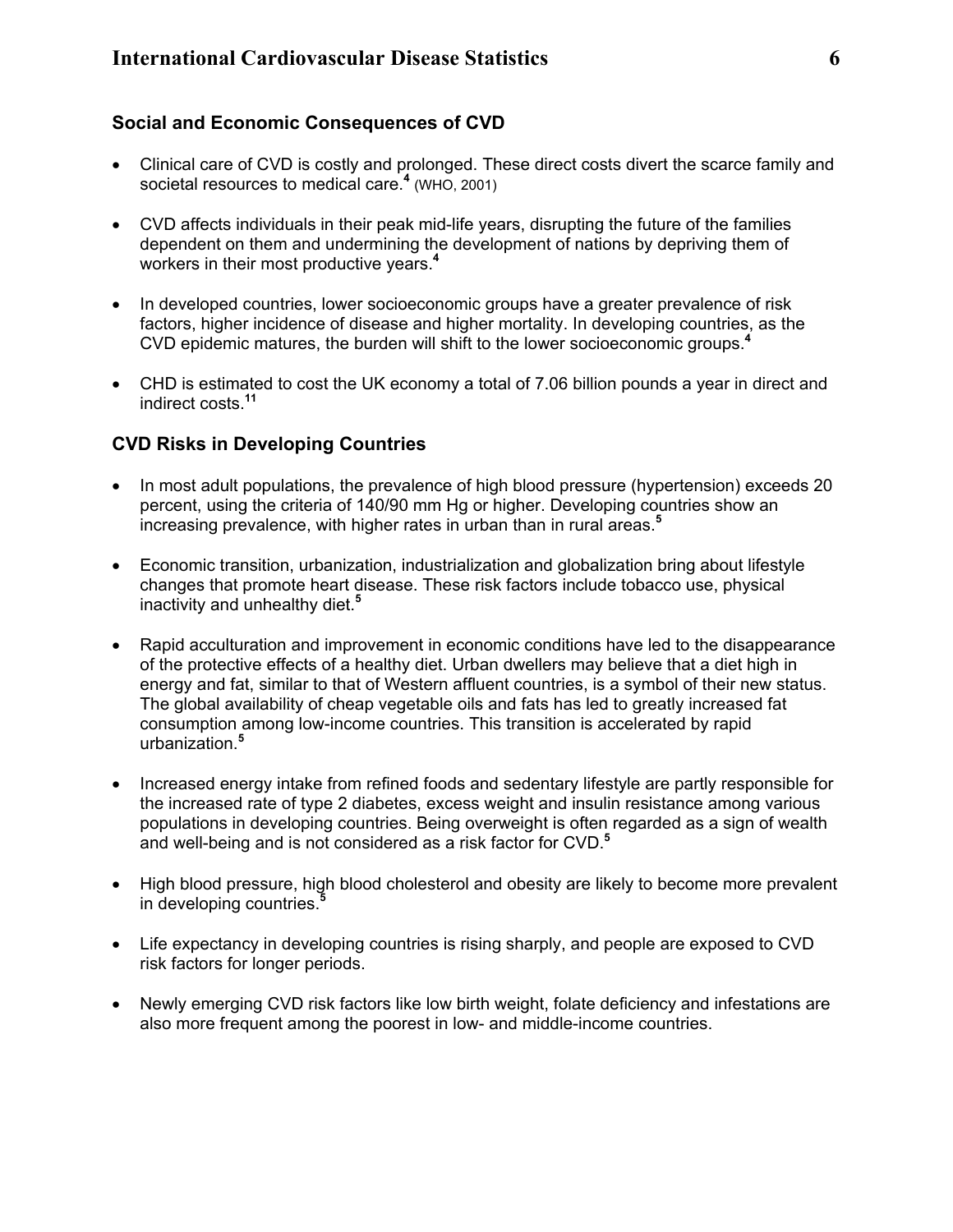# **Social and Economic Consequences of CVD**

- Clinical care of CVD is costly and prolonged. These direct costs divert the scarce family and societal resources to medical care.**<sup>4</sup>** (WHO, 2001)
- CVD affects individuals in their peak mid-life years, disrupting the future of the families dependent on them and undermining the development of nations by depriving them of workers in their most productive years.**<sup>4</sup>**
- In developed countries, lower socioeconomic groups have a greater prevalence of risk factors, higher incidence of disease and higher mortality. In developing countries, as the CVD epidemic matures, the burden will shift to the lower socioeconomic groups.**<sup>4</sup>**
- CHD is estimated to cost the UK economy a total of 7.06 billion pounds a year in direct and indirect costs.**<sup>11</sup>**

# **CVD Risks in Developing Countries**

- In most adult populations, the prevalence of high blood pressure (hypertension) exceeds 20 percent, using the criteria of 140/90 mm Hg or higher. Developing countries show an increasing prevalence, with higher rates in urban than in rural areas.**<sup>5</sup>**
- Economic transition, urbanization, industrialization and globalization bring about lifestyle changes that promote heart disease. These risk factors include tobacco use, physical inactivity and unhealthy diet.**<sup>5</sup>**
- Rapid acculturation and improvement in economic conditions have led to the disappearance of the protective effects of a healthy diet. Urban dwellers may believe that a diet high in energy and fat, similar to that of Western affluent countries, is a symbol of their new status. The global availability of cheap vegetable oils and fats has led to greatly increased fat consumption among low-income countries. This transition is accelerated by rapid urbanization. **5**
- Increased energy intake from refined foods and sedentary lifestyle are partly responsible for the increased rate of type 2 diabetes, excess weight and insulin resistance among various populations in developing countries. Being overweight is often regarded as a sign of wealth and well-being and is not considered as a risk factor for CVD.**<sup>5</sup>**
- High blood pressure, high blood cholesterol and obesity are likely to become more prevalent in developing countries.**<sup>5</sup>**
- Life expectancy in developing countries is rising sharply, and people are exposed to CVD risk factors for longer periods.
- Newly emerging CVD risk factors like low birth weight, folate deficiency and infestations are also more frequent among the poorest in low- and middle-income countries.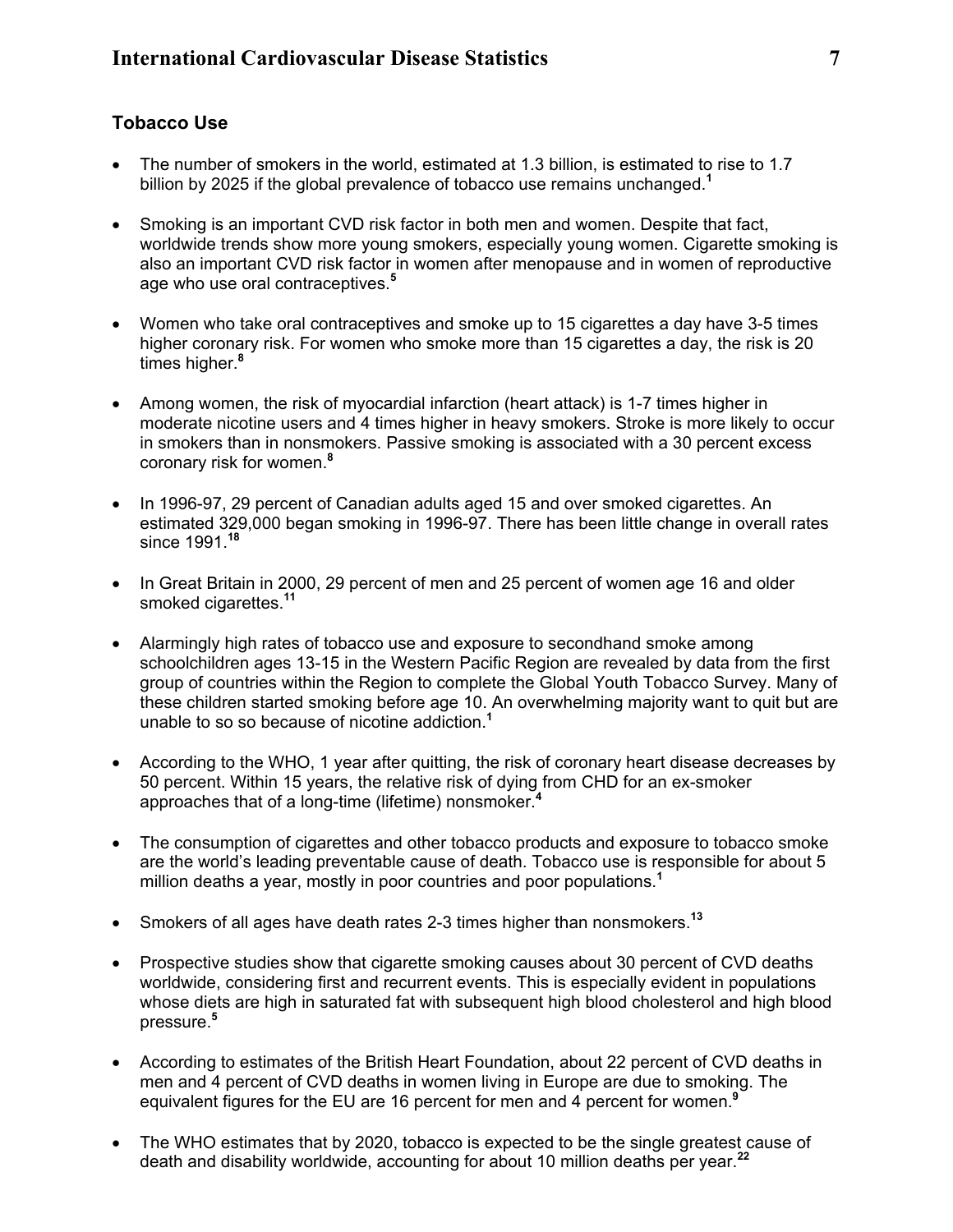### **Tobacco Use**

- The number of smokers in the world, estimated at 1.3 billion, is estimated to rise to 1.7 billion by 2025 if the global prevalence of tobacco use remains unchanged.**<sup>1</sup>**
- Smoking is an important CVD risk factor in both men and women. Despite that fact, worldwide trends show more young smokers, especially young women. Cigarette smoking is also an important CVD risk factor in women after menopause and in women of reproductive age who use oral contraceptives.**<sup>5</sup>**
- Women who take oral contraceptives and smoke up to 15 cigarettes a day have 3-5 times higher coronary risk. For women who smoke more than 15 cigarettes a day, the risk is 20 times higher. **8**
- Among women, the risk of myocardial infarction (heart attack) is 1-7 times higher in moderate nicotine users and 4 times higher in heavy smokers. Stroke is more likely to occur in smokers than in nonsmokers. Passive smoking is associated with a 30 percent excess coronary risk for women.**<sup>8</sup>**
- In 1996-97, 29 percent of Canadian adults aged 15 and over smoked cigarettes. An estimated 329,000 began smoking in 1996-97. There has been little change in overall rates since 1991.**<sup>18</sup>**
- In Great Britain in 2000, 29 percent of men and 25 percent of women age 16 and older smoked cigarettes.**<sup>11</sup>**
- Alarmingly high rates of tobacco use and exposure to secondhand smoke among schoolchildren ages 13-15 in the Western Pacific Region are revealed by data from the first group of countries within the Region to complete the Global Youth Tobacco Survey. Many of these children started smoking before age 10. An overwhelming majority want to quit but are unable to so so because of nicotine addiction.**<sup>1</sup>**
- According to the WHO, 1 year after quitting, the risk of coronary heart disease decreases by 50 percent. Within 15 years, the relative risk of dying from CHD for an ex-smoker approaches that of a long-time (lifetime) nonsmoker.**<sup>4</sup>**
- The consumption of cigarettes and other tobacco products and exposure to tobacco smoke are the world's leading preventable cause of death. Tobacco use is responsible for about 5 million deaths a year, mostly in poor countries and poor populations.**<sup>1</sup>**
- Smokers of all ages have death rates 2-3 times higher than nonsmokers.**<sup>13</sup>**
- Prospective studies show that cigarette smoking causes about 30 percent of CVD deaths worldwide, considering first and recurrent events. This is especially evident in populations whose diets are high in saturated fat with subsequent high blood cholesterol and high blood pressure.**<sup>5</sup>**
- According to estimates of the British Heart Foundation, about 22 percent of CVD deaths in men and 4 percent of CVD deaths in women living in Europe are due to smoking. The equivalent figures for the EU are 16 percent for men and 4 percent for women.**<sup>9</sup>**
- The WHO estimates that by 2020, tobacco is expected to be the single greatest cause of death and disability worldwide, accounting for about 10 million deaths per year.**<sup>22</sup>**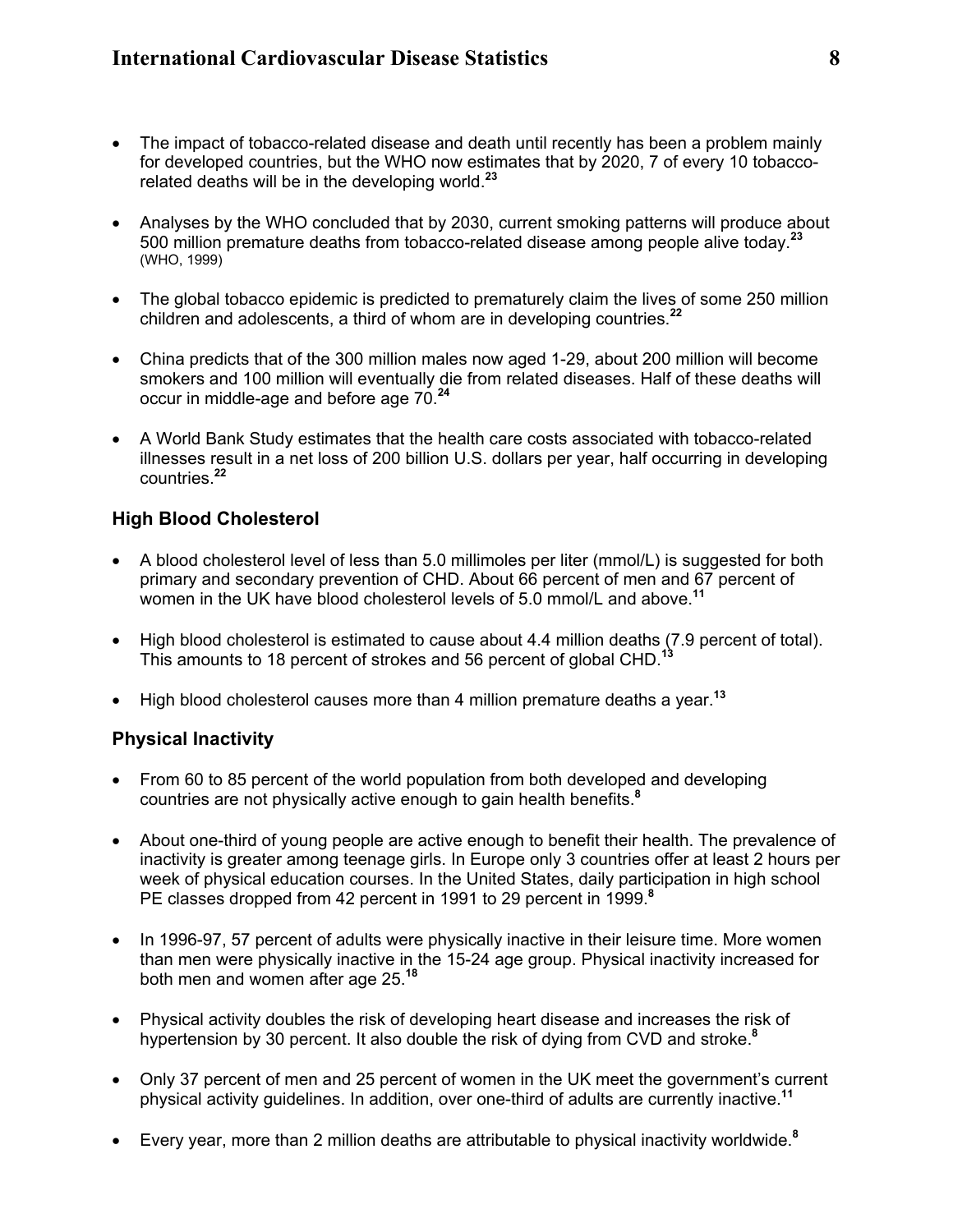- The impact of tobacco-related disease and death until recently has been a problem mainly for developed countries, but the WHO now estimates that by 2020, 7 of every 10 tobaccorelated deaths will be in the developing world.**<sup>23</sup>**
- Analyses by the WHO concluded that by 2030, current smoking patterns will produce about 500 million premature deaths from tobacco-related disease among people alive today.**<sup>23</sup>** (WHO, 1999)
- The global tobacco epidemic is predicted to prematurely claim the lives of some 250 million children and adolescents, a third of whom are in developing countries.**<sup>22</sup>**
- China predicts that of the 300 million males now aged 1-29, about 200 million will become smokers and 100 million will eventually die from related diseases. Half of these deaths will occur in middle-age and before age 70.**<sup>24</sup>**
- A World Bank Study estimates that the health care costs associated with tobacco-related illnesses result in a net loss of 200 billion U.S. dollars per year, half occurring in developing countries.**<sup>22</sup>**

# **High Blood Cholesterol**

- A blood cholesterol level of less than 5.0 millimoles per liter (mmol/L) is suggested for both primary and secondary prevention of CHD. About 66 percent of men and 67 percent of women in the UK have blood cholesterol levels of 5.0 mmol/L and above.**<sup>11</sup>**
- High blood cholesterol is estimated to cause about 4.4 million deaths (7.9 percent of total). This amounts to 18 percent of strokes and 56 percent of global CHD.**<sup>13</sup>**
- High blood cholesterol causes more than 4 million premature deaths a year.**<sup>13</sup>**

# **Physical Inactivity**

- From 60 to 85 percent of the world population from both developed and developing countries are not physically active enough to gain health benefits.**<sup>8</sup>**
- About one-third of young people are active enough to benefit their health. The prevalence of inactivity is greater among teenage girls. In Europe only 3 countries offer at least 2 hours per week of physical education courses. In the United States, daily participation in high school PE classes dropped from 42 percent in 1991 to 29 percent in 1999.**<sup>8</sup>**
- In 1996-97, 57 percent of adults were physically inactive in their leisure time. More women than men were physically inactive in the 15-24 age group. Physical inactivity increased for both men and women after age 25.**<sup>18</sup>**
- Physical activity doubles the risk of developing heart disease and increases the risk of hypertension by 30 percent. It also double the risk of dying from CVD and stroke.**<sup>8</sup>**
- Only 37 percent of men and 25 percent of women in the UK meet the government's current physical activity guidelines. In addition, over one-third of adults are currently inactive.**<sup>11</sup>**
- Every year, more than 2 million deaths are attributable to physical inactivity worldwide.**<sup>8</sup>**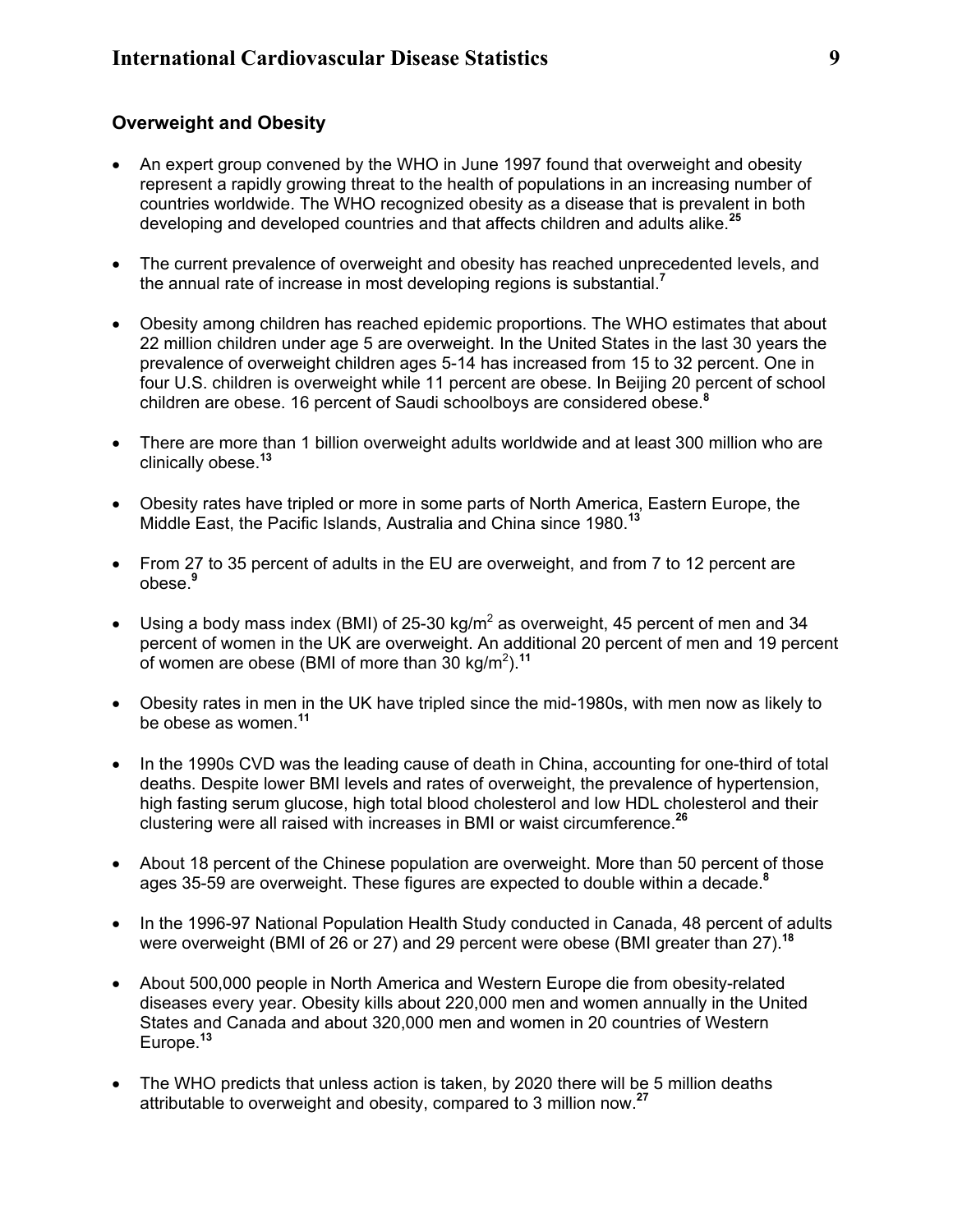# **Overweight and Obesity**

- An expert group convened by the WHO in June 1997 found that overweight and obesity represent a rapidly growing threat to the health of populations in an increasing number of countries worldwide. The WHO recognized obesity as a disease that is prevalent in both developing and developed countries and that affects children and adults alike.**<sup>25</sup>**
- The current prevalence of overweight and obesity has reached unprecedented levels, and the annual rate of increase in most developing regions is substantial.**<sup>7</sup>**
- Obesity among children has reached epidemic proportions. The WHO estimates that about 22 million children under age 5 are overweight. In the United States in the last 30 years the prevalence of overweight children ages 5-14 has increased from 15 to 32 percent. One in four U.S. children is overweight while 11 percent are obese. In Beijing 20 percent of school children are obese. 16 percent of Saudi schoolboys are considered obese.**<sup>8</sup>**
- There are more than 1 billion overweight adults worldwide and at least 300 million who are clinically obese.**<sup>13</sup>**
- Obesity rates have tripled or more in some parts of North America, Eastern Europe, the Middle East, the Pacific Islands, Australia and China since 1980.**<sup>13</sup>**
- From 27 to 35 percent of adults in the EU are overweight, and from 7 to 12 percent are obese.**<sup>9</sup>**
- Using a body mass index (BMI) of 25-30 kg/m<sup>2</sup> as overweight, 45 percent of men and 34 percent of women in the UK are overweight. An additional 20 percent of men and 19 percent of women are obese (BMI of more than 30 kg/m2 ).**<sup>11</sup>**
- Obesity rates in men in the UK have tripled since the mid-1980s, with men now as likely to be obese as women.**<sup>11</sup>**
- In the 1990s CVD was the leading cause of death in China, accounting for one-third of total deaths. Despite lower BMI levels and rates of overweight, the prevalence of hypertension, high fasting serum glucose, high total blood cholesterol and low HDL cholesterol and their clustering were all raised with increases in BMI or waist circumference.**<sup>26</sup>**
- About 18 percent of the Chinese population are overweight. More than 50 percent of those ages 35-59 are overweight. These figures are expected to double within a decade.**<sup>8</sup>**
- In the 1996-97 National Population Health Study conducted in Canada, 48 percent of adults were overweight (BMI of 26 or 27) and 29 percent were obese (BMI greater than 27).**<sup>18</sup>**
- About 500,000 people in North America and Western Europe die from obesity-related diseases every year. Obesity kills about 220,000 men and women annually in the United States and Canada and about 320,000 men and women in 20 countries of Western Europe.**<sup>13</sup>**
- The WHO predicts that unless action is taken, by 2020 there will be 5 million deaths attributable to overweight and obesity, compared to 3 million now.**<sup>27</sup>**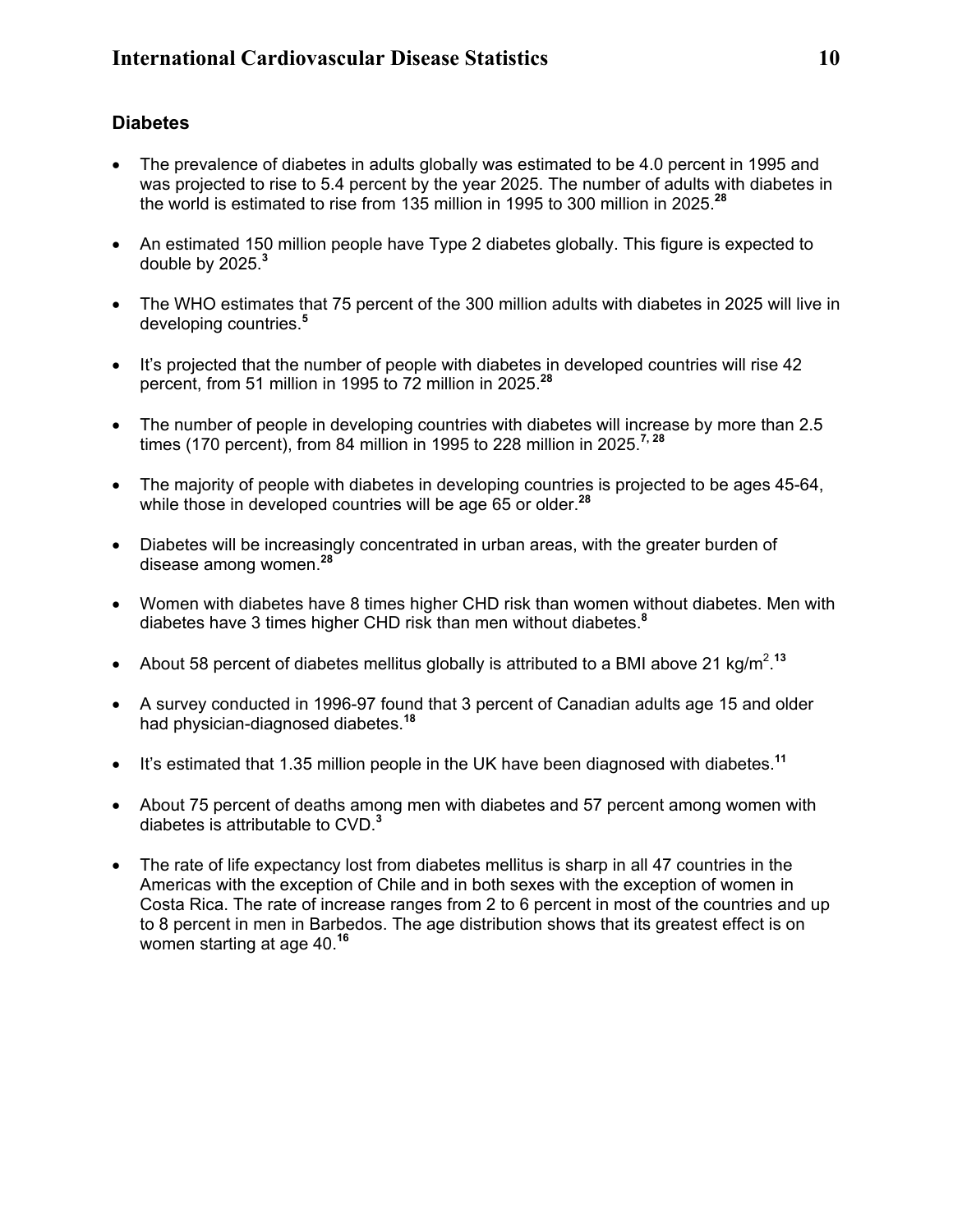# **Diabetes**

- The prevalence of diabetes in adults globally was estimated to be 4.0 percent in 1995 and was projected to rise to 5.4 percent by the year 2025. The number of adults with diabetes in the world is estimated to rise from 135 million in 1995 to 300 million in 2025.**<sup>28</sup>**
- An estimated 150 million people have Type 2 diabetes globally. This figure is expected to double by 2025.**<sup>3</sup>**
- The WHO estimates that 75 percent of the 300 million adults with diabetes in 2025 will live in developing countries.**<sup>5</sup>**
- It's projected that the number of people with diabetes in developed countries will rise 42 percent, from 51 million in 1995 to 72 million in 2025.**<sup>28</sup>**
- The number of people in developing countries with diabetes will increase by more than 2.5 times (170 percent), from 84 million in 1995 to 228 million in 2025.**7, 28**
- The majority of people with diabetes in developing countries is projected to be ages 45-64, while those in developed countries will be age 65 or older.**<sup>28</sup>**
- Diabetes will be increasingly concentrated in urban areas, with the greater burden of disease among women.**<sup>28</sup>**
- Women with diabetes have 8 times higher CHD risk than women without diabetes. Men with diabetes have 3 times higher CHD risk than men without diabetes.**<sup>8</sup>**
- About 58 percent of diabetes mellitus globally is attributed to a BMI above 21 kg/m<sup>2</sup>.<sup>13</sup>
- A survey conducted in 1996-97 found that 3 percent of Canadian adults age 15 and older had physician-diagnosed diabetes.**<sup>18</sup>**
- It's estimated that 1.35 million people in the UK have been diagnosed with diabetes.**<sup>11</sup>**
- About 75 percent of deaths among men with diabetes and 57 percent among women with diabetes is attributable to CVD.**<sup>3</sup>**
- The rate of life expectancy lost from diabetes mellitus is sharp in all 47 countries in the Americas with the exception of Chile and in both sexes with the exception of women in Costa Rica. The rate of increase ranges from 2 to 6 percent in most of the countries and up to 8 percent in men in Barbedos. The age distribution shows that its greatest effect is on women starting at age 40. **16**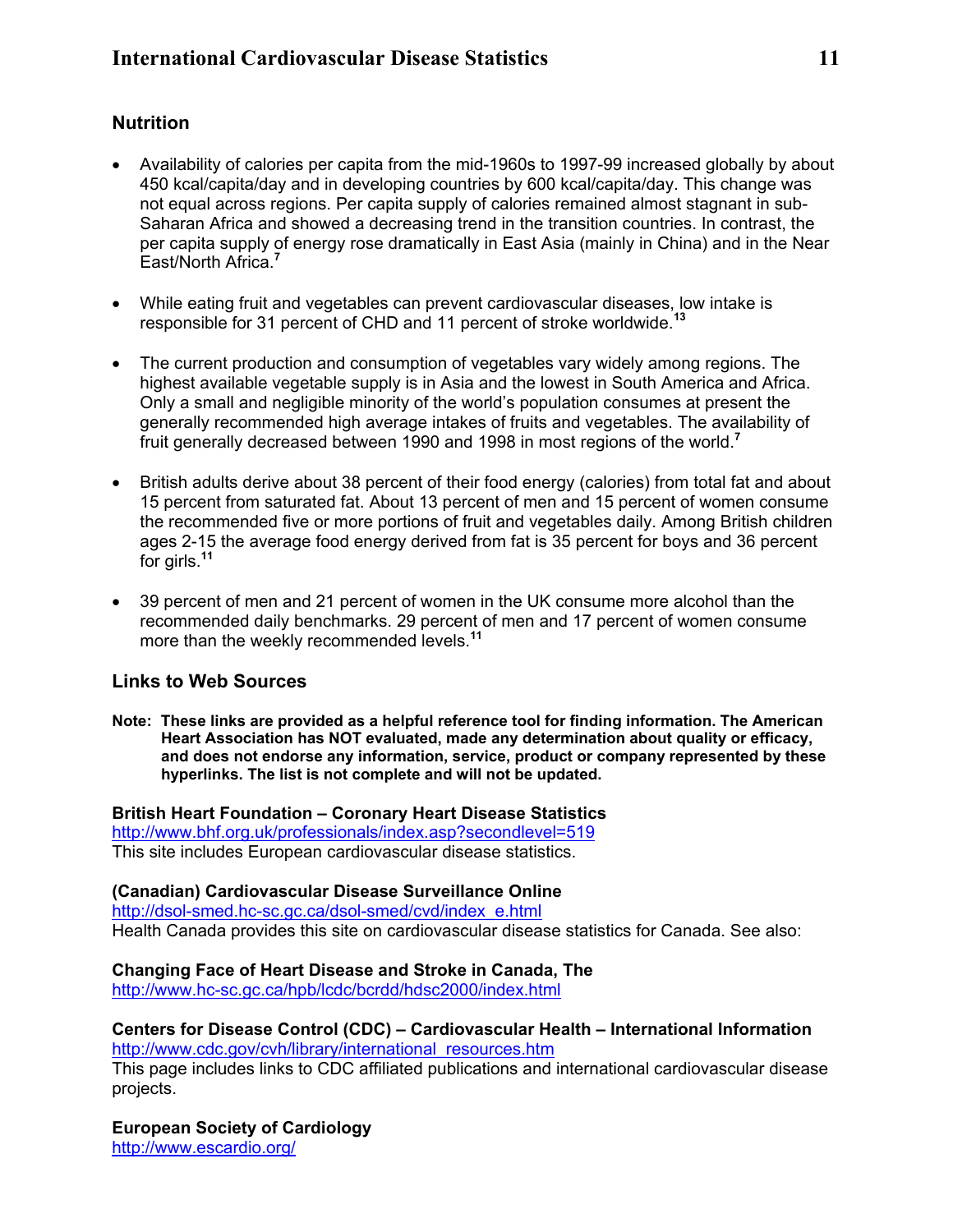# **Nutrition**

- Availability of calories per capita from the mid-1960s to 1997-99 increased globally by about 450 kcal/capita/day and in developing countries by 600 kcal/capita/day. This change was not equal across regions. Per capita supply of calories remained almost stagnant in sub-Saharan Africa and showed a decreasing trend in the transition countries. In contrast, the per capita supply of energy rose dramatically in East Asia (mainly in China) and in the Near East/North Africa.**<sup>7</sup>**
- While eating fruit and vegetables can prevent cardiovascular diseases, low intake is responsible for 31 percent of CHD and 11 percent of stroke worldwide.**<sup>13</sup>**
- The current production and consumption of vegetables vary widely among regions. The highest available vegetable supply is in Asia and the lowest in South America and Africa. Only a small and negligible minority of the world's population consumes at present the generally recommended high average intakes of fruits and vegetables. The availability of fruit generally decreased between 1990 and 1998 in most regions of the world.**<sup>7</sup>**
- British adults derive about 38 percent of their food energy (calories) from total fat and about 15 percent from saturated fat. About 13 percent of men and 15 percent of women consume the recommended five or more portions of fruit and vegetables daily. Among British children ages 2-15 the average food energy derived from fat is 35 percent for boys and 36 percent for girls.**<sup>11</sup>**
- 39 percent of men and 21 percent of women in the UK consume more alcohol than the recommended daily benchmarks. 29 percent of men and 17 percent of women consume more than the weekly recommended levels.**<sup>11</sup>**

# **Links to Web Sources**

**Note: These links are provided as a helpful reference tool for finding information. The American Heart Association has NOT evaluated, made any determination about quality or efficacy, and does not endorse any information, service, product or company represented by these hyperlinks. The list is not complete and will not be updated.** 

**British Heart Foundation – Coronary Heart Disease Statistics**  <http://www.bhf.org.uk/professionals/index.asp?secondlevel=519> This site includes European cardiovascular disease statistics.

**(Canadian) Cardiovascular Disease Surveillance Online**  [http://dsol-smed.hc-sc.gc.ca/dsol-smed/cvd/index\\_e.html](http://dsol-smed.hc-sc.gc.ca/dsol-smed/cvd/index_e.html) Health Canada provides this site on cardiovascular disease statistics for Canada. See also:

**Changing Face of Heart Disease and Stroke in Canada, The**  <http://www.hc-sc.gc.ca/hpb/lcdc/bcrdd/hdsc2000/index.html>

#### **Centers for Disease Control (CDC) – Cardiovascular Health – International Information**  [http://www.cdc.gov/cvh/library/international\\_resources.htm](http://www.cdc.gov/cvh/librarynccdphp/cvd/international_resources.htm)

This page includes links to CDC affiliated publications and international cardiovascular disease projects.

**European Society of Cardiology** <http://www.escardio.org/>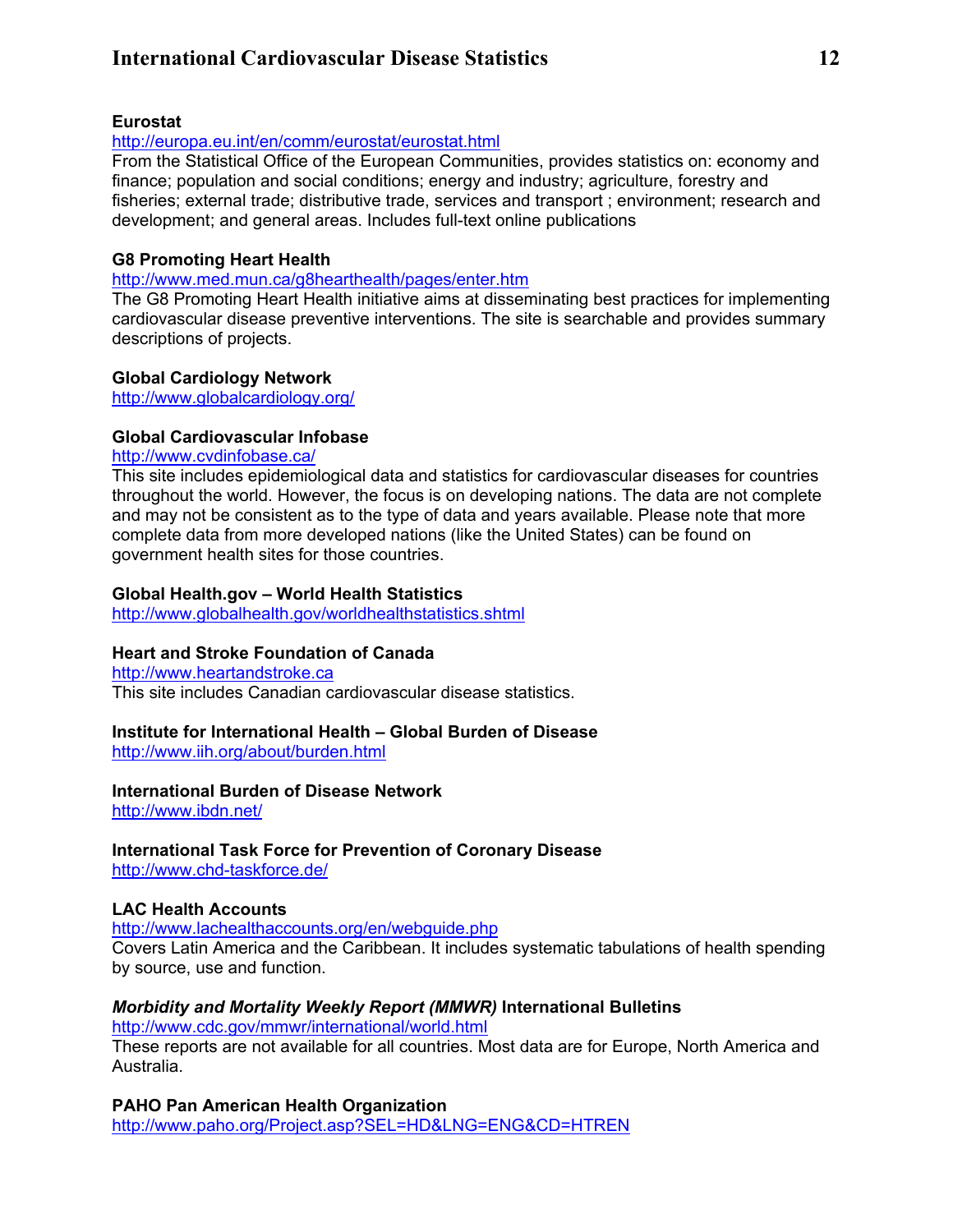# **International Cardiovascular Disease Statistics 12**

#### **Eurostat**

#### <http://europa.eu.int/en/comm/eurostat/eurostat.html>

From the Statistical Office of the European Communities, provides statistics on: economy and finance; population and social conditions; energy and industry; agriculture, forestry and fisheries; external trade; distributive trade, services and transport ; environment; research and development; and general areas. Includes full-text online publications

#### **G8 Promoting Heart Health**

<http://www.med.mun.ca/g8hearthealth/pages/enter.htm>

The G8 Promoting Heart Health initiative aims at disseminating best practices for implementing cardiovascular disease preventive interventions. The site is searchable and provides summary descriptions of projects.

#### **Global Cardiology Network**

<http://www.globalcardiology.org/>

#### **Global Cardiovascular Infobase**

#### <http://www.cvdinfobase.ca/>

This site includes epidemiological data and statistics for cardiovascular diseases for countries throughout the world. However, the focus is on developing nations. The data are not complete and may not be consistent as to the type of data and years available. Please note that more complete data from more developed nations (like the United States) can be found on government health sites for those countries.

#### **Global Health.gov – World Health Statistics**

<http://www.globalhealth.gov/worldhealthstatistics.shtml>

#### **Heart and Stroke Foundation of Canada**

[http://www.heartandstroke.ca](http://www.heartandstroke.ca/) This site includes Canadian cardiovascular disease statistics.

#### **Institute for International Health – Global Burden of Disease**

<http://www.iih.org/about/burden.html>

#### **International Burden of Disease Network**

<http://www.ibdn.net/>

# **International Task Force for Prevention of Coronary Disease**

<http://www.chd-taskforce.de/>

#### **LAC Health Accounts**

<http://www.lachealthaccounts.org/en/webguide.php>

Covers Latin America and the Caribbean. It includes systematic tabulations of health spending by source, use and function.

#### *Morbidity and Mortality Weekly Report (MMWR)* **International Bulletins**

<http://www.cdc.gov/mmwr/international/world.html>

These reports are not available for all countries. Most data are for Europe, North America and Australia.

**PAHO Pan American Health Organization** <http://www.paho.org/Project.asp?SEL=HD&LNG=ENG&CD=HTREN>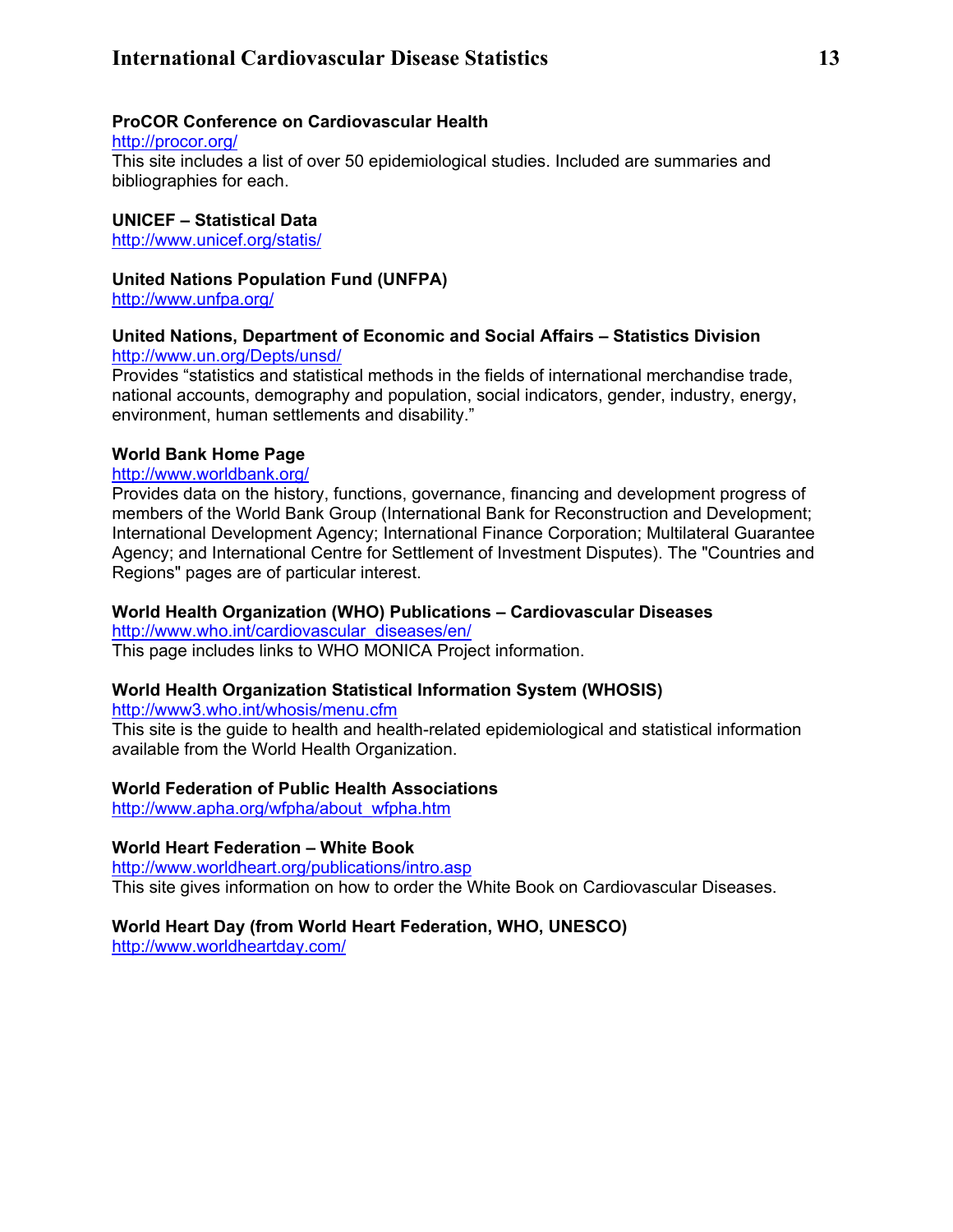# **International Cardiovascular Disease Statistics 13**

#### **ProCOR Conference on Cardiovascular Health**

<http://procor.org/>

This site includes a list of over 50 epidemiological studies. Included are summaries and bibliographies for each.

#### **UNICEF – Statistical Data**

<http://www.unicef.org/statis/>

**United Nations Population Fund (UNFPA)**

<http://www.unfpa.org/>

#### **United Nations, Department of Economic and Social Affairs – Statistics Division**  <http://www.un.org/Depts/unsd/>

Provides "statistics and statistical methods in the fields of international merchandise trade, national accounts, demography and population, social indicators, gender, industry, energy, environment, human settlements and disability."

#### **World Bank Home Page**

<http://www.worldbank.org/>

Provides data on the history, functions, governance, financing and development progress of members of the World Bank Group (International Bank for Reconstruction and Development; International Development Agency; International Finance Corporation; Multilateral Guarantee Agency; and International Centre for Settlement of Investment Disputes). The "Countries and Regions" pages are of particular interest.

#### **World Health Organization (WHO) Publications – Cardiovascular Diseases**

[http://www.who.int/cardiovascular\\_diseases/en/](http://www.who.int/dsa/cat98/card8.htm)

This page includes links to WHO MONICA Project information.

#### **World Health Organization Statistical Information System (WHOSIS)**

<http://www3.who.int/whosis/menu.cfm>

This site is the guide to health and health-related epidemiological and statistical information available from the World Health Organization.

#### **World Federation of Public Health Associations**

[http://www.apha.org/wfpha/about\\_wfpha.htm](http://www.apha.org/wfpha/about_wfpha.htm)

#### **World Heart Federation – White Book**

<http://www.worldheart.org/publications/intro.asp> This site gives information on how to order the White Book on Cardiovascular Diseases.

#### **World Heart Day (from World Heart Federation, WHO, UNESCO)**

<http://www.worldheartday.com/>